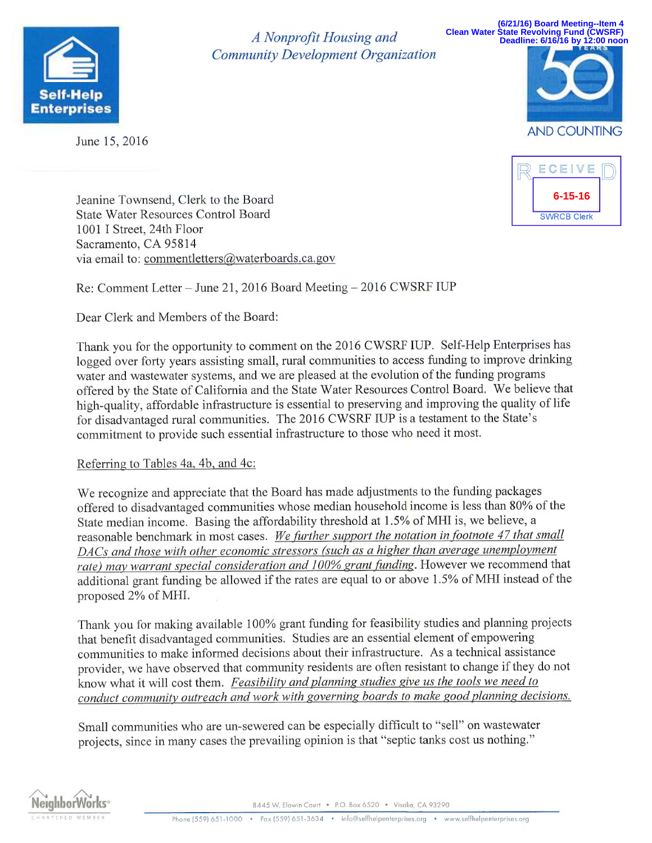

June 15, 2016

<sup>A</sup>Nonprofit Housing and Community Development Organization

**(6/21/16) Board Meeting--Item 4 Clean Water State Revolving Fund (CWSRF) Deadline: 6/16/16 by 12:00 noon**





Jeanine Townsend, Clerk to the Board State Water Resources Control Board 1001 I Street, 24th Floor Sacramento, CA 95814 via email to: commentletters@waterboards.ca.gov

Re: Comment Letter — June 21, 2016 Board Meeting — 2016 CWSRF IUP

Dear Clerk and Members of the Board:

Thank you for the opportunity to comment on the 2016 CWSRF IUP. Self-Help Enterprises has logged over forty years assisting small, rural communities to access funding to improve drinking water and wastewater systems, and we are pleased at the evolution of the funding programs offered by the State of California and the State Water Resources Control Board. We believe that high-quality, affordable infrastructure is essential to preserving and improving the quality of life for disadvantaged rural communities. The 2016 CWSRF IUP is a testament to the State's commitment to provide such essential infrastructure to those who need it most.

## Referring to Tables 4a, 4b, and 4c:

We recognize and appreciate that the Board has made adjustments to the funding packages offered to disadvantaged communities whose median household income is less than 80% of the State median income. Basing the affordability threshold at 1.5% of MHI is, we believe, <sup>a</sup> reasonable benchmark in most cases. We further support the notation in footnote 47 that small DACs and those with other economic stressors (such as a higher than average unemployment rate) may warrant special consideration and 100% grant funding. However we recommend that additional grant funding be allowed if the rates are equal to or above 1.5% of MHI instead of the proposed 2% of MHI.

Thank you for making available 100% grant funding for feasibility studies and planning projects that benefit disadvantaged communities. Studies are an essential element of empowering communities to make informed decisions about their infrastructure. As a technical assistance provider, we have observed that community residents are often resistant to change if they do not know what it will cost them. Feasibility and planning studies give us the tools we need to conduct community outreach and work with governing boards to make good planning decisions.

Small communities who are un-sewered can be especially difficult to "sell" on wastewater projects, since in many cases the prevailing opinion is that "septic tanks cost us nothing."